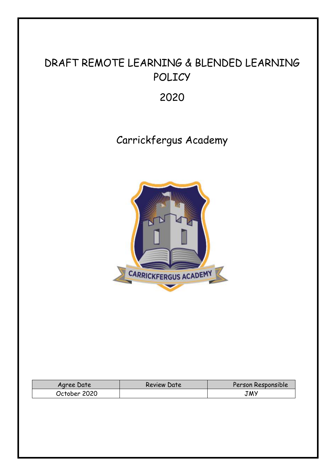# DRAFT REMOTE LEARNING & BLENDED LEARNING POLICY

2020

# Carrickfergus Academy



| Agree Date   | <b>Review Date</b> | Person Responsible |
|--------------|--------------------|--------------------|
| October 2020 |                    | <b>JWA</b>         |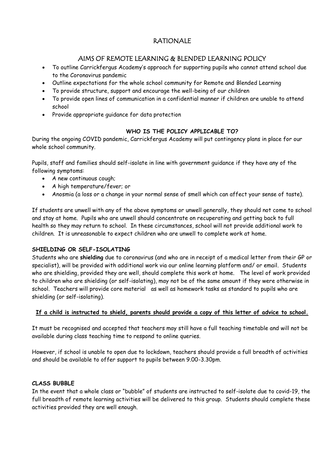## RATIONALE

### AIMS OF REMOTE LEARNING & BLENDED LEARNING POLICY

- To outline Carrickfergus Academy's approach for supporting pupils who cannot attend school due to the Coronavirus pandemic
- Outline expectations for the whole school community for Remote and Blended Learning
- To provide structure, support and encourage the well-being of our children
- To provide open lines of communication in a confidential manner if children are unable to attend school
- Provide appropriate guidance for data protection

### **WHO IS THE POLICY APPLICABLE TO?**

During the ongoing COVID pandemic, Carrickfergus Academy will put contingency plans in place for our whole school community.

Pupils, staff and families should self-isolate in line with government guidance if they have any of the following symptoms:

- A new continuous cough;
- A high temperature/fever; or
- Anosmia (a loss or a change in your normal sense of smell which can affect your sense of taste).

If students are unwell with any of the above symptoms or unwell generally, they should not come to school and stay at home. Pupils who are unwell should concentrate on recuperating and getting back to full health so they may return to school. In these circumstances, school will not provide additional work to children. It is unreasonable to expect children who are unwell to complete work at home.

### **SHIELDING OR SELF-ISOLATING**

Students who are **shielding** due to coronavirus (and who are in receipt of a medical letter from their GP or specialist), will be provided with additional work via our online learning platform and/ or email. Students who are shielding, provided they are well, should complete this work at home. The level of work provided to children who are shielding (or self-isolating), may not be of the same amount if they were otherwise in school. Teachers will provide core material as well as homework tasks as standard to pupils who are shielding (or self-isolating).

### **If a child is instructed to shield, parents should provide a copy of this letter of advice to school.**

It must be recognised and accepted that teachers may still have a full teaching timetable and will not be available during class teaching time to respond to online queries.

However, if school is unable to open due to lockdown, teachers should provide a full breadth of activities and should be available to offer support to pupils between 9.00-3.30pm.

### **CLASS BUBBLE**

In the event that a whole class or "bubble" of students are instructed to self-isolate due to covid-19, the full breadth of remote learning activities will be delivered to this group. Students should complete these activities provided they are well enough.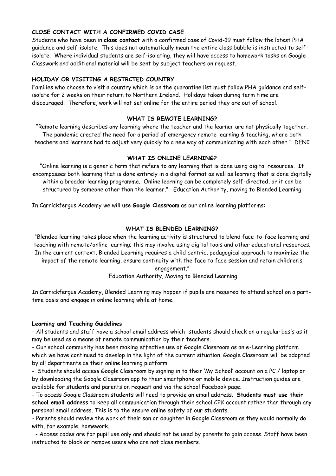### **CLOSE CONTACT WITH A CONFIRMED COVID CASE**

Students who have been in **close contact** with a confirmed case of Covid-19 must follow the latest PHA guidance and self-isolate. This does not automatically mean the entire class bubble is instructed to selfisolate. Where individual students are self-isolating, they will have access to homework tasks on Google Classwork and additional material will be sent by subject teachers on request.

### **HOLIDAY OR VISITING A RESTRCTED COUNTRY**

Families who choose to visit a country which is on the quarantine list must follow PHA guidance and selfisolate for 2 weeks on their return to Northern Ireland. Holidays taken during term time are discouraged. Therefore, work will not set online for the entire period they are out of school.

### **WHAT IS REMOTE LEARNING?**

"Remote learning describes any learning where the teacher and the learner are not physically together. The pandemic created the need for a period of emergency remote learning & teaching, where both teachers and learners had to adjust very quickly to a new way of communicating with each other." DENI

### **WHAT IS ONLINE LEARNING?**

"Online learning is a generic term that refers to any learning that is done using digital resources. It encompasses both learning that is done entirely in a digital format as well as learning that is done digitally within a broader learning programme. Online learning can be completely self-directed, or it can be structured by someone other than the learner." Education Authority, moving to Blended Learning

In Carrickfergus Academy we will use **Google Classroom** as our online learning platforms:

### **WHAT IS BLENDED LEARNING?**

"Blended learning takes place when the learning activity is structured to blend face-to-face learning and teaching with remote/online learning; this may involve using digital tools and other educational resources. In the current context, Blended Learning requires a child centric, pedagogical approach to maximize the impact of the remote learning, ensure continuity with the face to face session and retain children's

## engagement."

Education Authority, Moving to Blended Learning

In Carrickfergus Academy, Blended Learning may happen if pupils are required to attend school on a parttime basis and engage in online learning while at home.

### **Learning and Teaching Guidelines**

- All students and staff have a school email address which students should check on a regular basis as it may be used as a means of remote communication by their teachers.

- Our school community has been making effective use of Google Classroom as an e-Learning platform which we have continued to develop in the light of the current situation. Google Classroom will be adopted by all departments as their online learning platform

- Students should access Google Classroom by signing in to their 'My School' account on a PC / laptop or by downloading the Google Classroom app to their smartphone or mobile device. Instruction guides are available for students and parents on request and via the school Facebook page.

- To access Google Classroom students will need to provide an email address. **Students must use their school email address** to keep all communication through their school C2K account rather than through any personal email address. This is to the ensure online safety of our students.

*-* Parents should review the work of their son or daughter in Google Classroom as they would normally do with, for example, homework.

 - Access codes are for pupil use only and should not be used by parents to gain access. Staff have been instructed to block or remove users who are not class members.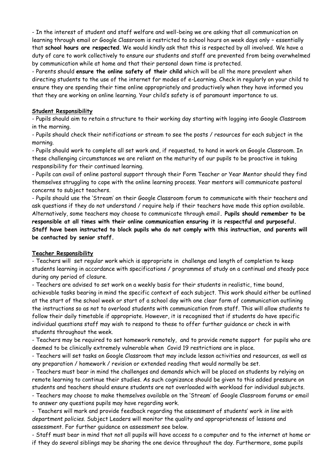- In the interest of student and staff welfare and well-being we are asking that all communication on learning through email or Google Classroom is restricted to school hours on week days only – essentially that **school hours are respected**. We would kindly ask that this is respected by all involved. We have a duty of care to work collectively to ensure our students and staff are prevented from being overwhelmed by communication while at home and that their personal down time is protected.

- Parents should **ensure the online safety of their child** which will be all the more prevalent when directing students to the use of the internet for modes of e-Learning. Check in regularly on your child to ensure they are spending their time online appropriately and productively when they have informed you that they are working on online learning. Your child's safety is of paramount importance to us.

### **Student Responsibility**

- Pupils should aim to retain a structure to their working day starting with logging into Google Classroom in the morning.

- Pupils should check their notifications or stream to see the posts / resources for each subject in the morning.

- Pupils should work to complete all set work and, if requested, to hand in work on Google Classroom. In these challenging circumstances we are reliant on the maturity of our pupils to be proactive in taking responsibility for their continued learning.

- Pupils can avail of online pastoral support through their Form Teacher or Year Mentor should they find themselves struggling to cope with the online learning process. Year mentors will communicate pastoral concerns to subject teachers.

- Pupils should use the 'Stream' on their Google Classroom forum to communicate with their teachers and ask questions if they do not understand / require help if their teachers have made this option available. Alternatively, some teachers may choose to communicate through email**. Pupils should remember to be responsible at all times with their online communication ensuring it is respectful and purposeful. Staff have been instructed to block pupils who do not comply with this instruction, and parents will be contacted by senior staff.**

### **Teacher Responsibility**

- Teachers will set regular work which is appropriate in challenge and length of completion to keep students learning in accordance with specifications / programmes of study on a continual and steady pace during any period of closure.

- Teachers are advised to set work on a weekly basis for their students in realistic, time bound, achievable tasks bearing in mind the specific context of each subject. This work should either be outlined at the start of the school week or start of a school day with one clear form of communication outlining the instructions so as not to overload students with communication from staff. This will allow students to follow their daily timetable if appropriate. However, it is recognised that if students do have specific individual questions staff may wish to respond to these to offer further guidance or check in with students throughout the week.

- Teachers may be required to set homework remotely, and to provide remote support for pupils who are deemed to be clinically extremely vulnerable when Covid 19 restrictions are in place.

- Teachers will set tasks on Google Classroom that may include lesson activities and resources, as well as any preparation / homework / revision or extended reading that would normally be set.

- Teachers must bear in mind the challenges and demands which will be placed on students by relying on remote learning to continue their studies. As such cognizance should be given to this added pressure on students and teachers should ensure students are not overloaded with workload for individual subjects. - Teachers may choose to make themselves available on the 'Stream' of Google Classroom forums or email to answer any questions pupils may have regarding work.

- Teachers will mark and provide feedback regarding the assessment of students' work *in line with department policies.* Subject Leaders will monitor the quality and appropriateness of lessons and assessment. For further guidance on assessment see below.

- Staff must bear in mind that not all pupils will have access to a computer and to the internet at home or if they do several siblings may be sharing the one device throughout the day. Furthermore, some pupils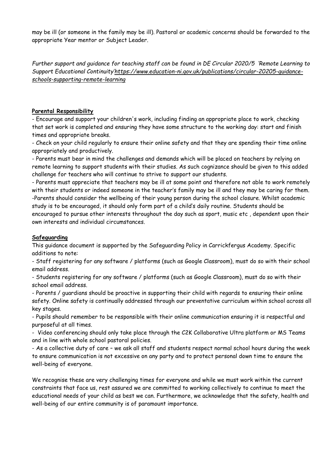may be ill (or someone in the family may be ill). Pastoral or academic concerns should be forwarded to the appropriate Year mentor or Subject Leader.

*Further support and guidance for teaching staff can be found in DE Circular 2020/5 'Remote Learning to Support Educational Continuity'[https://www.education-ni.gov.uk/publications/circular-20205-guidance](https://www.education-ni.gov.uk/publications/circular-20205-guidance-schools-supporting-remote-learning)[schools-supporting-remote-learning](https://www.education-ni.gov.uk/publications/circular-20205-guidance-schools-supporting-remote-learning)*

### **Parental Responsibility**

- Encourage and support your children's work, including finding an appropriate place to work, checking that set work is completed and ensuring they have some structure to the working day: start and finish times and appropriate breaks.

- Check on your child regularly to ensure their online safety and that they are spending their time online appropriately and productively.

- Parents must bear in mind the challenges and demands which will be placed on teachers by relying on remote learning to support students with their studies. As such cognizance should be given to this added challenge for teachers who will continue to strive to support our students.

- Parents must appreciate that teachers may be ill at some point and therefore not able to work remotely with their students or indeed someone in the teacher's family may be ill and they may be caring for them. -Parents should consider the wellbeing of their young person during the school closure. Whilst academic study is to be encouraged, it should only form part of a child's daily routine. Students should be encouraged to pursue other interests throughout the day such as sport, music etc , dependent upon their own interests and individual circumstances.

### **Safeguarding**

This guidance document is supported by the Safeguarding Policy in Carrickfergus Academy. Specific additions to note:

- Staff registering for any software / platforms (such as Google Classroom), must do so with their school email address.

- Students registering for any software / platforms (such as Google Classroom), must do so with their school email address.

- Parents / guardians should be proactive in supporting their child with regards to ensuring their online safety. Online safety is continually addressed through our preventative curriculum within school across all key stages.

- Pupils should remember to be responsible with their online communication ensuring it is respectful and purposeful at all times.

- Video conferencing should only take place through the C2K Collaborative Ultra platform or MS Teams and in line with whole school pastoral policies.

- As a collective duty of care – we ask all staff and students respect normal school hours during the week to ensure communication is not excessive on any party and to protect personal down time to ensure the well-being of everyone.

We recognise these are very challenging times for everyone and while we must work within the current constraints that face us, rest assured we are committed to working collectively to continue to meet the educational needs of your child as best we can. Furthermore, we acknowledge that the safety, health and well-being of our entire community is of paramount importance.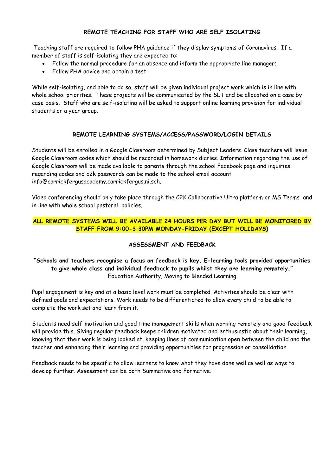### **REMOTE TEACHING FOR STAFF WHO ARE SELF ISOLATING**

Teaching staff are required to follow PHA guidance if they display symptoms of Coronavirus. If a member of staff is self-isolating they are expected to:

- Follow the normal procedure for an absence and inform the appropriate line manager;
- Follow PHA advice and obtain a test

While self-isolating, and able to do so, staff will be given individual project work which is in line with whole school priorities. These projects will be communicated by the SLT and be allocated on a case by case basis. Staff who are self-isolating will be asked to support online learning provision for individual students or a year group.

### **REMOTE LEARNING SYSTEMS/ACCESS/PASSWORD/LOGIN DETAILS**

Students will be enrolled in a Google Classroom determined by Subject Leaders. Class teachers will issue Google Classroom codes which should be recorded in homework diaries. Information regarding the use of Google Classroom will be made available to parents through the school Facebook page and inquiries regarding codes and c2k passwords can be made to the school email account info@carrickfergusacademy.carrickfergus.ni.sch.

Video conferencing should only take place through the C2K Collaborative Ultra platform or MS Teams and in line with whole school pastoral policies.

### **ALL REMOTE SYSTEMS WILL BE AVAILABLE 24 HOURS PER DAY BUT WILL BE MONITORED BY STAFF FROM 9:00-3:30PM MONDAY-FRIDAY (EXCEPT HOLIDAYS)**

### **ASSESSMENT AND FEEDBACK**

### **"Schools and teachers recognise a focus on feedback is key. E-learning tools provided opportunities to give whole class and individual feedback to pupils whilst they are learning remotely."** Education Authority, Moving to Blended Learning

Pupil engagement is key and at a basic level work must be completed. Activities should be clear with defined goals and expectations. Work needs to be differentiated to allow every child to be able to complete the work set and learn from it.

Students need self-motivation and good time management skills when working remotely and good feedback will provide this. Giving regular feedback keeps children motivated and enthusiastic about their learning, knowing that their work is being looked at, keeping lines of communication open between the child and the teacher and enhancing their learning and providing opportunities for progression or consolidation.

Feedback needs to be specific to allow learners to know what they have done well as well as ways to develop further. Assessment can be both Summative and Formative.